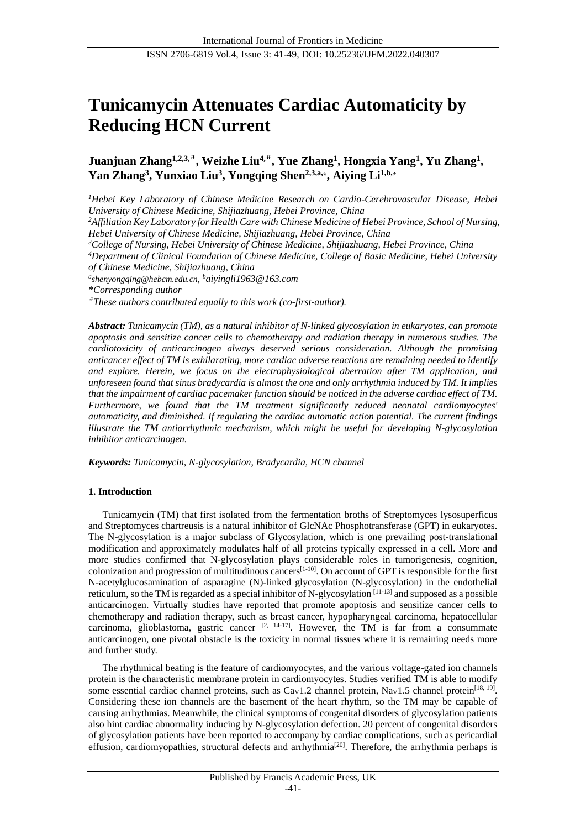# **Tunicamycin Attenuates Cardiac Automaticity by Reducing HCN Current**

**Juanjuan Zhang1,2,3,**# **, Weizhe Liu4,**# **, Yue Zhang<sup>1</sup> , Hongxia Yang<sup>1</sup> , Yu Zhang<sup>1</sup> , Yan Zhang<sup>3</sup> , Yunxiao Liu<sup>3</sup> , Yongqing Shen2,3,a,⁎ , Aiying Li1,b,⁎**

*<sup>1</sup>Hebei Key Laboratory of Chinese Medicine Research on Cardio-Cerebrovascular Disease, Hebei University of Chinese Medicine, Shijiazhuang, Hebei Province, China <sup>2</sup>Affiliation Key Laboratory for Health Care with Chinese Medicine of Hebei Province, School of Nursing, Hebei University of Chinese Medicine, Shijiazhuang, Hebei Province, China <sup>3</sup>College of Nursing, Hebei University of Chinese Medicine, Shijiazhuang, Hebei Province, China <sup>4</sup>Department of Clinical Foundation of Chinese Medicine, College of Basic Medicine, Hebei University of Chinese Medicine, Shijiazhuang, China a [shenyongqing@hebcm.edu.cn](mailto:shenyongqing@hebcm.edu.cn(YQ.S.)), <sup>b</sup>aiyingli1963@163.com \*Corresponding author* # *These authors contributed equally to this work (co-first-author). Abstract: Tunicamycin (TM), as a natural inhibitor of N-linked glycosylation in eukaryotes, can promote* 

*apoptosis and sensitize cancer cells to chemotherapy and radiation therapy in numerous studies. The cardiotoxicity of anticarcinogen always deserved serious consideration. Although the promising anticancer effect of TM is exhilarating, more cardiac adverse reactions are remaining needed to identify and explore. Herein, we focus on the electrophysiological aberration after TM application, and unforeseen found that sinus bradycardia is almost the one and only arrhythmia induced by TM. It implies that the impairment of cardiac pacemaker function should be noticed in the adverse cardiac effect of TM. Furthermore, we found that the TM treatment significantly reduced neonatal cardiomyocytes' automaticity, and diminished. If regulating the cardiac automatic action potential. The current findings illustrate the TM antiarrhythmic mechanism, which might be useful for developing N-glycosylation inhibitor anticarcinogen.*

*Keywords: Tunicamycin, N-glycosylation, Bradycardia, HCN channel*

## **1. Introduction**

Tunicamycin (TM) that first isolated from the fermentation broths of Streptomyces lysosuperficus and Streptomyces chartreusis is a natural inhibitor of GlcNAc Phosphotransferase (GPT) in eukaryotes. The N-glycosylation is a major subclass of Glycosylation, which is one prevailing post-translational modification and approximately modulates half of all proteins typically expressed in a cell. More and more studies confirmed that N-glycosylation plays considerable roles in tumorigenesis, cognition, colonization and progression of multitudinous cancers[1-10]. On account of GPT is responsible for the first N-acetylglucosamination of asparagine (N)-linked glycosylation (N-glycosylation) in the endothelial reticulum, so the TM is regarded as a special inhibitor of N-glycosylation [11-13] and supposed as a possible anticarcinogen. Virtually studies have reported that promote apoptosis and sensitize cancer cells to chemotherapy and radiation therapy, such as breast cancer, hypopharyngeal carcinoma, hepatocellular carcinoma, glioblastoma, gastric cancer  $[2, 14-17]$ . However, the TM is far from a consummate anticarcinogen, one pivotal obstacle is the toxicity in normal tissues where it is remaining needs more and further study.

The rhythmical beating is the feature of cardiomyocytes, and the various voltage-gated ion channels protein is the characteristic membrane protein in cardiomyocytes. Studies verified TM is able to modify some essential cardiac channel proteins, such as  $Ca<sub>V</sub>1.2$  channel protein, Na<sub>V</sub>1.5 channel protein<sup>[18, 19]</sup>. Considering these ion channels are the basement of the heart rhythm, so the TM may be capable of causing arrhythmias. Meanwhile, the clinical symptoms of congenital disorders of glycosylation patients also hint cardiac abnormality inducing by N-glycosylation defection. 20 percent of congenital disorders of glycosylation patients have been reported to accompany by cardiac complications, such as pericardial effusion, cardiomyopathies, structural defects and arrhythmia<sup>[20]</sup>. Therefore, the arrhythmia perhaps is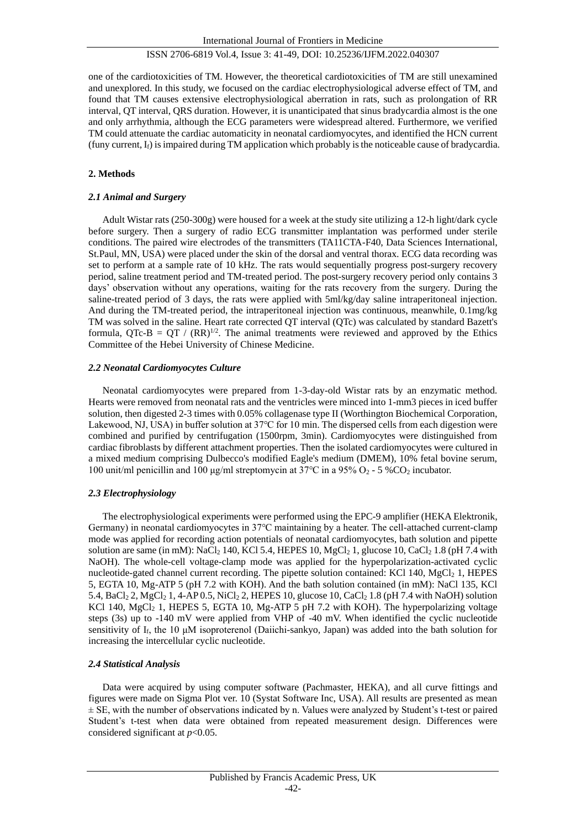one of the cardiotoxicities of TM. However, the theoretical cardiotoxicities of TM are still unexamined and unexplored. In this study, we focused on the cardiac electrophysiological adverse effect of TM, and found that TM causes extensive electrophysiological aberration in rats, such as prolongation of RR interval, QT interval, QRS duration. However, it is unanticipated that sinus bradycardia almost is the one and only arrhythmia, although the ECG parameters were widespread altered. Furthermore, we verified TM could attenuate the cardiac automaticity in neonatal cardiomyocytes, and identified the HCN current (funy current,  $I_f$ ) is impaired during TM application which probably is the noticeable cause of bradycardia.

## **2. Methods**

## *2.1 Animal and Surgery*

Adult Wistar rats (250-300g) were housed for a week at the study site utilizing a 12-h light/dark cycle before surgery. Then a surgery of radio ECG transmitter implantation was performed under sterile conditions. The paired wire electrodes of the transmitters (TA11CTA-F40, Data Sciences International, St.Paul, MN, USA) were placed under the skin of the dorsal and ventral thorax. ECG data recording was set to perform at a sample rate of 10 kHz. The rats would sequentially progress post-surgery recovery period, saline treatment period and TM-treated period. The post-surgery recovery period only contains 3 days' observation without any operations, waiting for the rats recovery from the surgery. During the saline-treated period of 3 days, the rats were applied with 5ml/kg/day saline intraperitoneal injection. And during the TM-treated period, the intraperitoneal injection was continuous, meanwhile, 0.1mg/kg TM was solved in the saline. Heart rate corrected QT interval (QTc) was calculated by standard Bazett's formula, QTc-B = QT /  $(RR)^{1/2}$ . The animal treatments were reviewed and approved by the Ethics Committee of the Hebei University of Chinese Medicine.

## *2.2 Neonatal Cardiomyocytes Culture*

Neonatal cardiomyocytes were prepared from 1-3-day-old Wistar rats by an enzymatic method. Hearts were removed from neonatal rats and the ventricles were minced into 1-mm3 pieces in iced buffer solution, then digested 2-3 times with 0.05% collagenase type II (Worthington Biochemical Corporation, Lakewood, NJ, USA) in buffer solution at 37℃ for 10 min. The dispersed cells from each digestion were combined and purified by centrifugation (1500rpm, 3min). Cardiomyocytes were distinguished from cardiac fibroblasts by different attachment properties. Then the isolated cardiomyocytes were cultured in a mixed medium comprising Dulbecco's modified Eagle's medium (DMEM), 10% fetal bovine serum, 100 unit/ml penicillin and 100 μg/ml streptomycin at  $37^{\circ}$ C in a  $95\%$  O<sub>2</sub> - 5 %CO<sub>2</sub> incubator.

# *2.3 Electrophysiology*

The electrophysiological experiments were performed using the EPC-9 amplifier (HEKA Elektronik, Germany) in neonatal cardiomyocytes in 37℃ maintaining by a heater. The cell-attached current-clamp mode was applied for recording action potentials of neonatal cardiomyocytes, bath solution and pipette solution are same (in mM): NaCl<sub>2</sub> 140, KCl 5.4, HEPES 10, MgCl<sub>2</sub> 1, glucose 10, CaCl<sub>2</sub> 1.8 (pH 7.4 with NaOH). The whole-cell voltage-clamp mode was applied for the hyperpolarization-activated cyclic nucleotide-gated channel current recording. The pipette solution contained: KCl 140, MgCl<sub>2</sub> 1, HEPES 5, EGTA 10, Mg-ATP 5 (pH 7.2 with KOH). And the bath solution contained (in mM): NaCl 135, KCl 5.4, BaCl<sup>2</sup> 2, MgCl<sup>2</sup> 1, 4-AP 0.5, NiCl<sup>2</sup> 2, HEPES 10, glucose 10, CaCl<sup>2</sup> 1.8 (pH 7.4 with NaOH) solution KCl 140,  $MgCl<sub>2</sub>$  1, HEPES 5, EGTA 10,  $Mg$ -ATP 5 pH 7.2 with KOH). The hyperpolarizing voltage steps (3s) up to -140 mV were applied from VHP of -40 mV. When identified the cyclic nucleotide sensitivity of  $I_f$ , the 10  $\mu$ M isoproterenol (Daiichi-sankyo, Japan) was added into the bath solution for increasing the intercellular cyclic nucleotide.

## *2.4 Statistical Analysis*

Data were acquired by using computer software (Pachmaster, HEKA), and all curve fittings and figures were made on Sigma Plot ver. 10 (Systat Software Inc, USA). All results are presented as mean  $\pm$  SE, with the number of observations indicated by n. Values were analyzed by Student's t-test or paired Student's t-test when data were obtained from repeated measurement design. Differences were considered significant at *p*<0.05.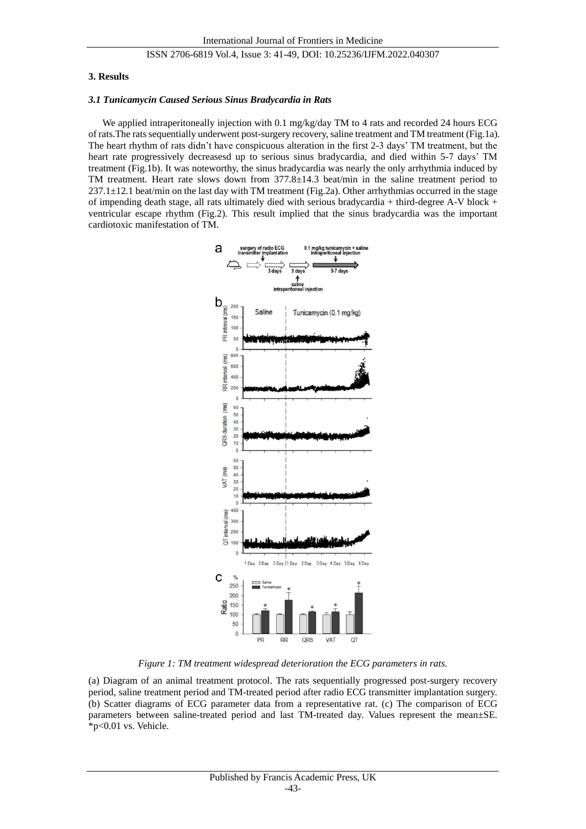#### **3. Results**

#### *3.1 Tunicamycin Caused Serious Sinus Bradycardia in Rats*

We applied intraperitoneally injection with 0.1 mg/kg/day TM to 4 rats and recorded 24 hours ECG of rats.The rats sequentially underwent post-surgery recovery, saline treatment and TM treatment (Fig.1a). The heart rhythm of rats didn't have conspicuous alteration in the first 2-3 days' TM treatment, but the heart rate progressively decreasesd up to serious sinus bradycardia, and died within 5-7 days' TM treatment (Fig.1b). It was noteworthy, the sinus bradycardia was nearly the only arrhythmia induced by TM treatment. Heart rate slows down from  $377.8 \pm 14.3$  beat/min in the saline treatment period to  $237.1 \pm 12.1$  beat/min on the last day with TM treatment (Fig.2a). Other arrhythmias occurred in the stage of impending death stage, all rats ultimately died with serious bradycardia + third-degree A-V block + ventricular escape rhythm (Fig.2). This result implied that the sinus bradycardia was the important cardiotoxic manifestation of TM.



*Figure 1: TM treatment widespread deterioration the ECG parameters in rats.*

(a) Diagram of an animal treatment protocol. The rats sequentially progressed post-surgery recovery period, saline treatment period and TM-treated period after radio ECG transmitter implantation surgery. (b) Scatter diagrams of ECG parameter data from a representative rat. (c) The comparison of ECG parameters between saline-treated period and last TM-treated day. Values represent the mean ±SE. \*p<0.01 vs. Vehicle.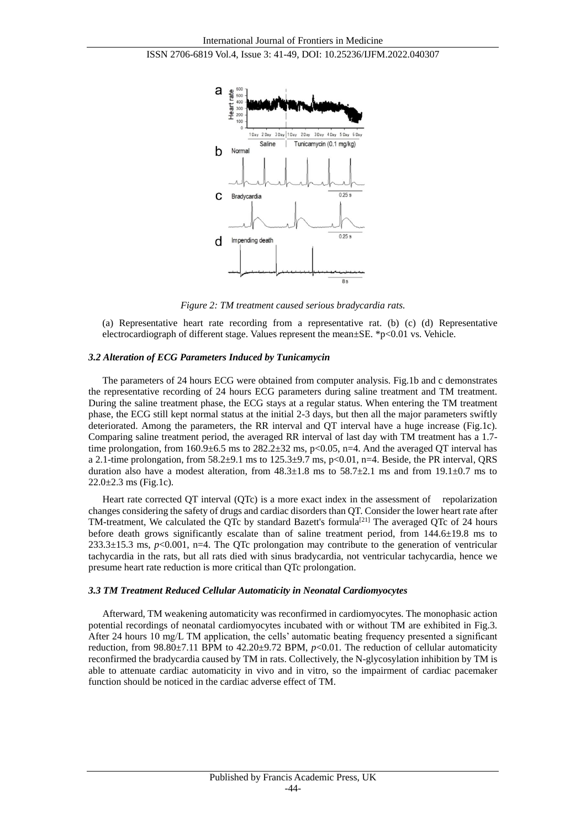

*Figure 2: TM treatment caused serious bradycardia rats.*

(a) Representative heart rate recording from a representative rat. (b) (c) (d) Representative electrocardiograph of different stage. Values represent the mean $\pm$ SE. \*p<0.01 vs. Vehicle.

#### *3.2 Alteration of ECG Parameters Induced by Tunicamycin*

The parameters of 24 hours ECG were obtained from computer analysis. Fig.1b and c demonstrates the representative recording of 24 hours ECG parameters during saline treatment and TM treatment. During the saline treatment phase, the ECG stays at a regular status. When entering the TM treatment phase, the ECG still kept normal status at the initial 2-3 days, but then all the major parameters swiftly deteriorated. Among the parameters, the RR interval and QT interval have a huge increase (Fig.1c). Comparing saline treatment period, the averaged RR interval of last day with TM treatment has a 1.7 time prolongation, from 160.9 $\pm$ 6.5 ms to 282.2 $\pm$ 32 ms, p<0.05, n=4. And the averaged QT interval has a 2.1-time prolongation, from  $58.2 \pm 9.1$  ms to  $125.3 \pm 9.7$  ms, p<0.01, n=4. Beside, the PR interval, QRS duration also have a modest alteration, from  $48.3 \pm 1.8$  ms to  $58.7 \pm 2.1$  ms and from  $19.1 \pm 0.7$  ms to  $22.0 \pm 2.3$  ms (Fig.1c).

Heart rate corrected QT interval (QTc) is a more exact index in the assessment of repolarization changes considering the safety of drugs and cardiac disorders than QT. Consider the lower heart rate after TM-treatment, We calculated the QTc by standard Bazett's formula<sup>[21]</sup> The averaged QTc of 24 hours before death grows significantly escalate than of saline treatment period, from  $144.6 \pm 19.8$  ms to  $233.3 \pm 15.3$  ms,  $p < 0.001$ , n=4. The QTc prolongation may contribute to the generation of ventricular tachycardia in the rats, but all rats died with sinus bradycardia, not ventricular tachycardia, hence we presume heart rate reduction is more critical than QTc prolongation.

#### *3.3 TM Treatment Reduced Cellular Automaticity in Neonatal Cardiomyocytes*

Afterward, TM weakening automaticity was reconfirmed in cardiomyocytes. The monophasic action potential recordings of neonatal cardiomyocytes incubated with or without TM are exhibited in Fig.3. After 24 hours 10 mg/L TM application, the cells' automatic beating frequency presented a significant reduction, from 98.80 $\pm$ 7.11 BPM to 42.20 $\pm$ 9.72 BPM,  $p$ <0.01. The reduction of cellular automaticity reconfirmed the bradycardia caused by TM in rats. Collectively, the N-glycosylation inhibition by TM is able to attenuate cardiac automaticity in vivo and in vitro, so the impairment of cardiac pacemaker function should be noticed in the cardiac adverse effect of TM.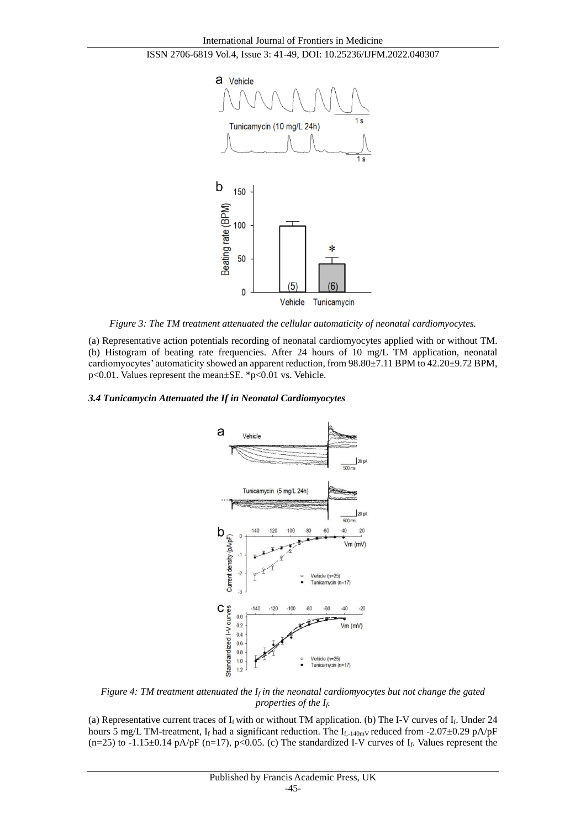



*Figure 3: The TM treatment attenuated the cellular automaticity of neonatal cardiomyocytes.*

(a) Representative action potentials recording of neonatal cardiomyocytes applied with or without TM. (b) Histogram of beating rate frequencies. After 24 hours of 10 mg/L TM application, neonatal cardiomyocytes' automaticity showed an apparent reduction, from  $98.80 \pm 7.11$  BPM to  $42.20 \pm 9.72$  BPM, p<0.01. Values represent the mean±SE. \*p<0.01 vs. Vehicle.

## *3.4 Tunicamycin Attenuated the If in Neonatal Cardiomyocytes*



*Figure 4: TM treatment attenuated the I<sup>f</sup> in the neonatal cardiomyocytes but not change the gated properties of the If.*

(a) Representative current traces of  $I_f$  with or without TM application. (b) The I-V curves of  $I_f$ . Under 24 hours 5 mg/L TM-treatment, If had a significant reduction. The If<sub>1-140mV</sub> reduced from -2.07 $\pm$ 0.29 pA/pF  $(n=25)$  to  $-1.15\pm0.14$  pA/pF  $(n=17)$ , p<0.05. (c) The standardized I-V curves of I<sub>f</sub>. Values represent the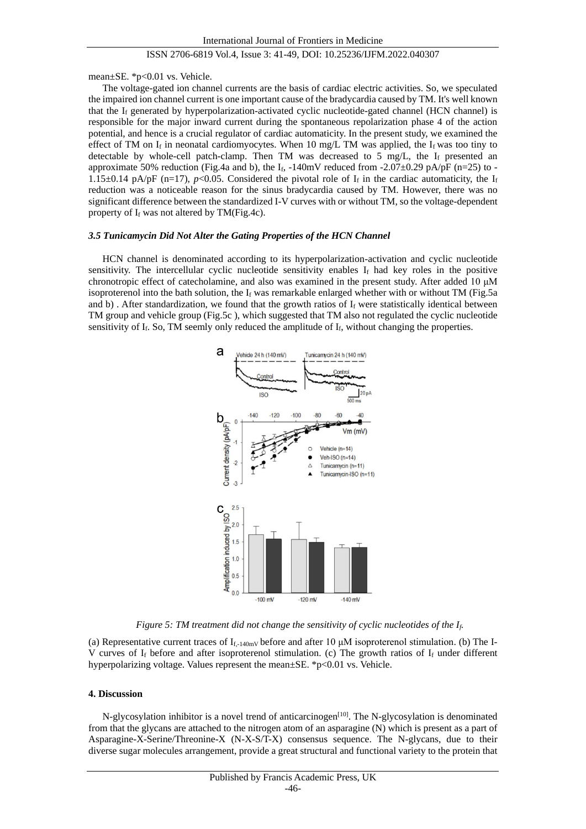mean±SE. \*p<0.01 vs. Vehicle.

The voltage-gated ion channel currents are the basis of cardiac electric activities. So, we speculated the impaired ion channel current is one important cause of the bradycardia caused by TM. It's well known that the  $I_f$  generated by hyperpolarization-activated cyclic nucleotide-gated channel (HCN channel) is responsible for the major inward current during the spontaneous repolarization phase 4 of the action potential, and hence is a crucial regulator of cardiac automaticity. In the present study, we examined the effect of TM on If in neonatal cardiomyocytes. When 10 mg/L TM was applied, the If was too tiny to detectable by whole-cell patch-clamp. Then TM was decreased to 5 mg/L, the  $I_f$  presented an approximate 50% reduction (Fig.4a and b), the  $I_f$ , -140mV reduced from -2.07 $\pm$ 0.29 pA/pF (n=25) to -1.15 $\pm$ 0.14 pA/pF (n=17), *p*<0.05. Considered the pivotal role of I<sub>f</sub> in the cardiac automaticity, the I<sub>f</sub> reduction was a noticeable reason for the sinus bradycardia caused by TM. However, there was no significant difference between the standardized I-V curves with or without TM, so the voltage-dependent property of  $I_f$  was not altered by TM(Fig.4c).

#### *3.5 Tunicamycin Did Not Alter the Gating Properties of the HCN Channel*

HCN channel is denominated according to its hyperpolarization-activation and cyclic nucleotide sensitivity. The intercellular cyclic nucleotide sensitivity enables  $I_f$  had key roles in the positive chronotropic effect of catecholamine, and also was examined in the present study. After added 10 μM isoproterenol into the bath solution, the  $I_f$  was remarkable enlarged whether with or without TM (Fig.5a) and b). After standardization, we found that the growth ratios of  $I_f$  were statistically identical between TM group and vehicle group (Fig.5c ), which suggested that TM also not regulated the cyclic nucleotide sensitivity of  $I_f$ . So, TM seemly only reduced the amplitude of  $I_f$ , without changing the properties.



#### *Figure 5: TM treatment did not change the sensitivity of cyclic nucleotides of the If.*

(a) Representative current traces of  $I_{f,-140mV}$  before and after 10  $\mu$ M isoproterenol stimulation. (b) The I-V curves of  $I_f$  before and after isoproterenol stimulation. (c) The growth ratios of  $I_f$  under different hyperpolarizing voltage. Values represent the mean $\pm$ SE. \*p<0.01 vs. Vehicle.

#### **4. Discussion**

N-glycosylation inhibitor is a novel trend of anticarcinogen<sup>[10]</sup>. The N-glycosylation is denominated from that the glycans are attached to the nitrogen atom of an asparagine (N) which is present as a part of Asparagine-X-Serine/Threonine-X (N-X-S/T-X) consensus sequence. The N-glycans, due to their diverse sugar molecules arrangement, provide a great structural and functional variety to the protein that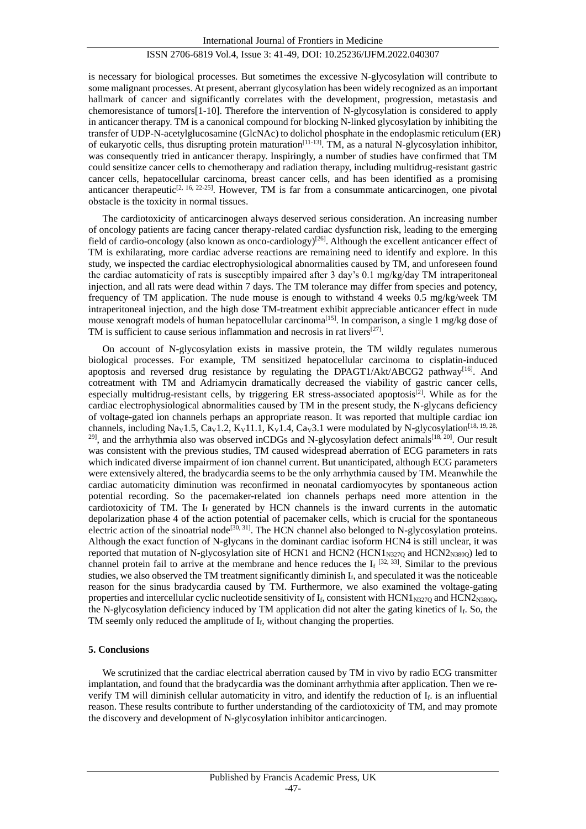is necessary for biological processes. But sometimes the excessive N-glycosylation will contribute to some malignant processes. At present, aberrant glycosylation has been widely recognized as an important hallmark of cancer and significantly correlates with the development, progression, metastasis and chemoresistance of tumors[1-10]. Therefore the intervention of N-glycosylation is considered to apply in anticancer therapy. TM is a canonical compound for blocking N-linked glycosylation by inhibiting the transfer of UDP-N-acetylglucosamine (GlcNAc) to dolichol phosphate in the endoplasmic reticulum (ER) of eukaryotic cells, thus disrupting protein maturation[11-13]. TM, as a natural N-glycosylation inhibitor, was consequently tried in anticancer therapy. Inspiringly, a number of studies have confirmed that TM could sensitize cancer cells to chemotherapy and radiation therapy, including multidrug-resistant gastric cancer cells, hepatocellular carcinoma, breast cancer cells, and has been identified as a promising anticancer therapeutic<sup>[2, 16, 22-25]</sup>. However, TM is far from a consummate anticarcinogen, one pivotal obstacle is the toxicity in normal tissues.

The cardiotoxicity of anticarcinogen always deserved serious consideration. An increasing number of oncology patients are facing cancer therapy-related cardiac dysfunction risk, leading to the emerging field of cardio-oncology (also known as onco-cardiology)<sup>[26]</sup>. Although the excellent anticancer effect of TM is exhilarating, more cardiac adverse reactions are remaining need to identify and explore. In this study, we inspected the cardiac electrophysiological abnormalities caused by TM, and unforeseen found the cardiac automaticity of rats is susceptibly impaired after 3 day's 0.1 mg/kg/day TM intraperitoneal injection, and all rats were dead within 7 days. The TM tolerance may differ from species and potency, frequency of TM application. The nude mouse is enough to withstand 4 weeks 0.5 mg/kg/week TM intraperitoneal injection, and the high dose TM-treatment exhibit appreciable anticancer effect in nude mouse xenograft models of human hepatocellular carcinoma<sup>[15]</sup>. In comparison, a single 1 mg/kg dose of TM is sufficient to cause serious inflammation and necrosis in rat livers<sup>[27]</sup>.

On account of N-glycosylation exists in massive protein, the TM wildly regulates numerous biological processes. For example, TM sensitized hepatocellular carcinoma to cisplatin-induced apoptosis and reversed drug resistance by regulating the DPAGT1/Akt/ABCG2 pathway<sup>[16]</sup>. And cotreatment with TM and Adriamycin dramatically decreased the viability of gastric cancer cells, especially multidrug-resistant cells, by triggering ER stress-associated apoptosis<sup>[2]</sup>. While as for the cardiac electrophysiological abnormalities caused by TM in the present study, the N-glycans deficiency of voltage-gated ion channels perhaps an appropriate reason. It was reported that multiple cardiac ion channels, including Na<sub>V</sub>1.5, Ca<sub>V</sub>1.2, K<sub>V</sub>11.1, K<sub>V</sub>1.4, Ca<sub>V</sub>3.1 were modulated by N-glycosylation<sup>[18, 19, 28,]</sup>  $^{29}$ , and the arrhythmia also was observed inCDGs and N-glycosylation defect animals<sup>[18, 20]</sup>. Our result was consistent with the previous studies, TM caused widespread aberration of ECG parameters in rats which indicated diverse impairment of ion channel current. But unanticipated, although ECG parameters were extensively altered, the bradycardia seems to be the only arrhythmia caused by TM. Meanwhile the cardiac automaticity diminution was reconfirmed in neonatal cardiomyocytes by spontaneous action potential recording. So the pacemaker-related ion channels perhaps need more attention in the cardiotoxicity of TM. The  $I_f$  generated by HCN channels is the inward currents in the automatic depolarization phase 4 of the action potential of pacemaker cells, which is crucial for the spontaneous electric action of the sinoatrial node<sup>[30, 31]</sup>. The HCN channel also belonged to N-glycosylation proteins. Although the exact function of N-glycans in the dominant cardiac isoform HCN4 is still unclear, it was reported that mutation of N-glycosylation site of HCN1 and HCN2 (HCN1 $_{\rm N327Q}$  and HCN2<sub>N380Q</sub>) led to channel protein fail to arrive at the membrane and hence reduces the  $I_f$ <sup>[32, 33]</sup>. Similar to the previous studies, we also observed the TM treatment significantly diminish  $I_f$ , and speculated it was the noticeable reason for the sinus bradycardia caused by TM. Furthermore, we also examined the voltage-gating properties and intercellular cyclic nucleotide sensitivity of  $I_f$ , consistent with  $HCN1_{N3270}$  and  $HCN2_{N3800}$ , the N-glycosylation deficiency induced by TM application did not alter the gating kinetics of  $I_f$ . So, the TM seemly only reduced the amplitude of If, without changing the properties.

## **5. Conclusions**

We scrutinized that the cardiac electrical aberration caused by TM in vivo by radio ECG transmitter implantation, and found that the bradycardia was the dominant arrhythmia after application. Then we reverify TM will diminish cellular automaticity in vitro, and identify the reduction of  $I_f$ , is an influential reason. These results contribute to further understanding of the cardiotoxicity of TM, and may promote the discovery and development of N-glycosylation inhibitor anticarcinogen.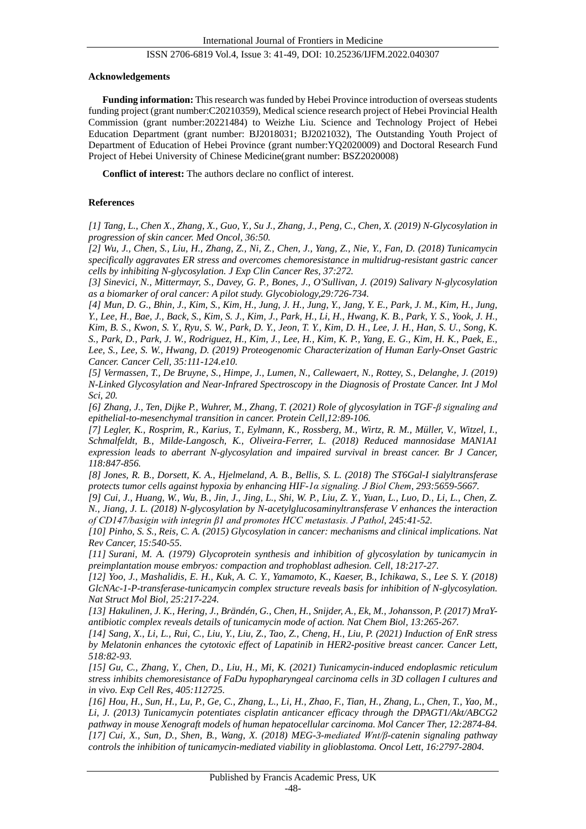#### **Acknowledgements**

**Funding information:** This research was funded by Hebei Province introduction of overseas students funding project (grant number:C20210359), Medical science research project of Hebei Provincial Health Commission (grant number:20221484) to Weizhe Liu. Science and Technology Project of Hebei Education Department (grant number: BJ2018031; BJ2021032), The Outstanding Youth Project of Department of Education of Hebei Province (grant number:YQ2020009) and Doctoral Research Fund Project of Hebei University of Chinese Medicine(grant number: BSZ2020008)

**Conflict of interest:** The authors declare no conflict of interest.

### **References**

*[1] Tang, L., Chen X., Zhang, X., Guo, Y., Su J., Zhang, J., Peng, C., Chen, X. (2019) N-Glycosylation in progression of skin cancer. Med Oncol, 36:50.*

*[2] Wu, J., Chen, S., Liu, H., Zhang, Z., Ni, Z., Chen, J., Yang, Z., Nie, Y., Fan, D. (2018) Tunicamycin specifically aggravates ER stress and overcomes chemoresistance in multidrug-resistant gastric cancer cells by inhibiting N-glycosylation. J Exp Clin Cancer Res, 37:272.*

*[3] Sinevici, N., Mittermayr, S., Davey, G. P., Bones, J., O'Sullivan, J. (2019) Salivary N-glycosylation as a biomarker of oral cancer: A pilot study. Glycobiology,29:726-734.*

*[4] Mun, D. G., Bhin, J., Kim, S., Kim, H., Jung, J. H., Jung, Y., Jang, Y. E., Park, J. M., Kim, H., Jung, Y., Lee, H., Bae, J., Back, S., Kim, S. J., Kim, J., Park, H., Li, H., Hwang, K. B., Park, Y. S., Yook, J. H., Kim, B. S., Kwon, S. Y., Ryu, S. W., Park, D. Y., Jeon, T. Y., Kim, D. H., Lee, J. H., Han, S. U., Song, K. S., Park, D., Park, J. W., Rodriguez, H., Kim, J., Lee, H., Kim, K. P., Yang, E. G., Kim, H. K., Paek, E., Lee, S., Lee, S. W., Hwang, D. (2019) Proteogenomic Characterization of Human Early-Onset Gastric Cancer. Cancer Cell, 35:111-124.e10.*

*[5] Vermassen, T., De Bruyne, S., Himpe, J., Lumen, N., Callewaert, N., Rottey, S., Delanghe, J. (2019) N-Linked Glycosylation and Near-Infrared Spectroscopy in the Diagnosis of Prostate Cancer. Int J Mol Sci, 20.*

*[6] Zhang, J., Ten, Dijke P., Wuhrer, M., Zhang, T. (2021) Role of glycosylation in TGF-β signaling and epithelial-to-mesenchymal transition in cancer. Protein Cell,12:89-106.*

*[7] Legler, K., Rosprim, R., Karius, T., Eylmann, K., Rossberg, M., Wirtz, R. M., Müller, V., Witzel, I., Schmalfeldt, B., Milde-Langosch, K., Oliveira-Ferrer, L. (2018) Reduced mannosidase MAN1A1 expression leads to aberrant N-glycosylation and impaired survival in breast cancer. Br J Cancer, 118:847-856.*

*[8] Jones, R. B., Dorsett, K. A., Hjelmeland, A. B., Bellis, S. L. (2018) The ST6Gal-I sialyltransferase protects tumor cells against hypoxia by enhancing HIF-1α signaling. J Biol Chem, 293:5659-5667.*

*[9] Cui, J., Huang, W., Wu, B., Jin, J., Jing, L., Shi, W. P., Liu, Z. Y., Yuan, L., Luo, D., Li, L., Chen, Z. N., Jiang, J. L. (2018) N-glycosylation by N-acetylglucosaminyltransferase V enhances the interaction of CD147/basigin with integrin β1 and promotes HCC metastasis. J Pathol, 245:41-52.*

*[10] Pinho, S. S., Reis, C. A. (2015) Glycosylation in cancer: mechanisms and clinical implications. Nat Rev Cancer, 15:540-55.*

*[11] Surani, M. A. (1979) Glycoprotein synthesis and inhibition of glycosylation by tunicamycin in preimplantation mouse embryos: compaction and trophoblast adhesion. Cell, 18:217-27.*

*[12] Yoo, J., Mashalidis, E. H., Kuk, A. C. Y., Yamamoto, K., Kaeser, B., Ichikawa, S., Lee S. Y. (2018) GlcNAc-1-P-transferase-tunicamycin complex structure reveals basis for inhibition of N-glycosylation. Nat Struct Mol Biol, 25:217-224.*

*[13] Hakulinen, J. K., Hering, J., Brändén, G., Chen, H., Snijder, A., Ek, M., Johansson, P. (2017) MraYantibiotic complex reveals details of tunicamycin mode of action. Nat Chem Biol, 13:265-267.*

*[14] Sang, X., Li, L., Rui, C., Liu, Y., Liu, Z., Tao, Z., Cheng, H., Liu, P. (2021) Induction of EnR stress by Melatonin enhances the cytotoxic effect of Lapatinib in HER2-positive breast cancer. Cancer Lett, 518:82-93.*

*[15] Gu, C., Zhang, Y., Chen, D., Liu, H., Mi, K. (2021) Tunicamycin-induced endoplasmic reticulum stress inhibits chemoresistance of FaDu hypopharyngeal carcinoma cells in 3D collagen I cultures and in vivo. Exp Cell Res, 405:112725.*

*[16] Hou, H., Sun, H., Lu, P., Ge, C., Zhang, L., Li, H., Zhao, F., Tian, H., Zhang, L., Chen, T., Yao, M., Li, J. (2013) Tunicamycin potentiates cisplatin anticancer efficacy through the DPAGT1/Akt/ABCG2 pathway in mouse Xenograft models of human hepatocellular carcinoma. Mol Cancer Ther, 12:2874-84. [17] Cui, X., Sun, D., Shen, B., Wang, X. (2018) MEG-3-mediated Wnt/β-catenin signaling pathway controls the inhibition of tunicamycin-mediated viability in glioblastoma. Oncol Lett, 16:2797-2804.*